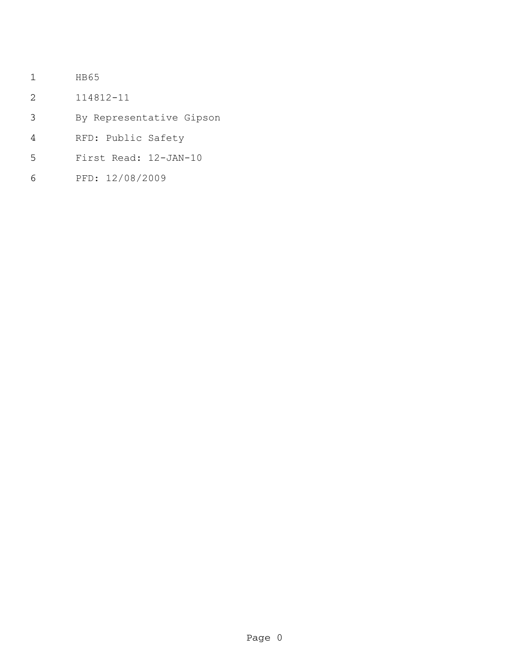- HB65
- 114812-11
- By Representative Gipson
- RFD: Public Safety
- First Read: 12-JAN-10
- PFD: 12/08/2009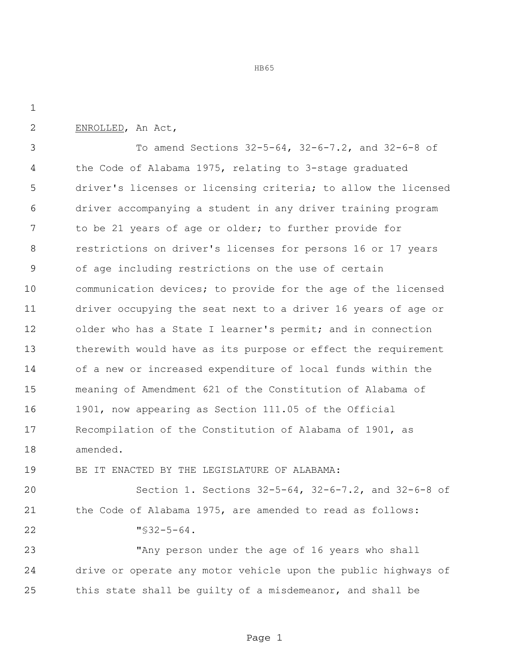HB65

ENROLLED, An Act,

 To amend Sections 32-5-64, 32-6-7.2, and 32-6-8 of the Code of Alabama 1975, relating to 3-stage graduated driver's licenses or licensing criteria; to allow the licensed driver accompanying a student in any driver training program to be 21 years of age or older; to further provide for restrictions on driver's licenses for persons 16 or 17 years of age including restrictions on the use of certain communication devices; to provide for the age of the licensed driver occupying the seat next to a driver 16 years of age or 12 older who has a State I learner's permit; and in connection therewith would have as its purpose or effect the requirement of a new or increased expenditure of local funds within the meaning of Amendment 621 of the Constitution of Alabama of 1901, now appearing as Section 111.05 of the Official Recompilation of the Constitution of Alabama of 1901, as amended.

BE IT ENACTED BY THE LEGISLATURE OF ALABAMA:

 Section 1. Sections 32-5-64, 32-6-7.2, and 32-6-8 of the Code of Alabama 1975, are amended to read as follows: "§32-5-64.

 "Any person under the age of 16 years who shall drive or operate any motor vehicle upon the public highways of this state shall be guilty of a misdemeanor, and shall be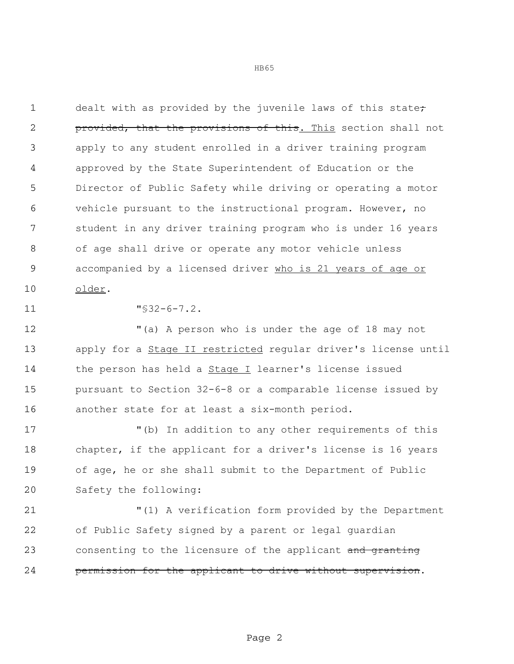1 dealt with as provided by the juvenile laws of this state<del>;</del> **provided, that the provisions of this.** This section shall not apply to any student enrolled in a driver training program approved by the State Superintendent of Education or the Director of Public Safety while driving or operating a motor vehicle pursuant to the instructional program. However, no student in any driver training program who is under 16 years of age shall drive or operate any motor vehicle unless accompanied by a licensed driver who is 21 years of age or older.

"§32-6-7.2.

 "(a) A person who is under the age of 18 may not 13 apply for a **Stage II restricted** regular driver's license until 14 the person has held a **Stage I** learner's license issued pursuant to Section 32-6-8 or a comparable license issued by another state for at least a six-month period.

 "(b) In addition to any other requirements of this chapter, if the applicant for a driver's license is 16 years of age, he or she shall submit to the Department of Public Safety the following:

 "(1) A verification form provided by the Department of Public Safety signed by a parent or legal guardian 23 consenting to the licensure of the applicant and granting **permission for the applicant to drive without supervision.**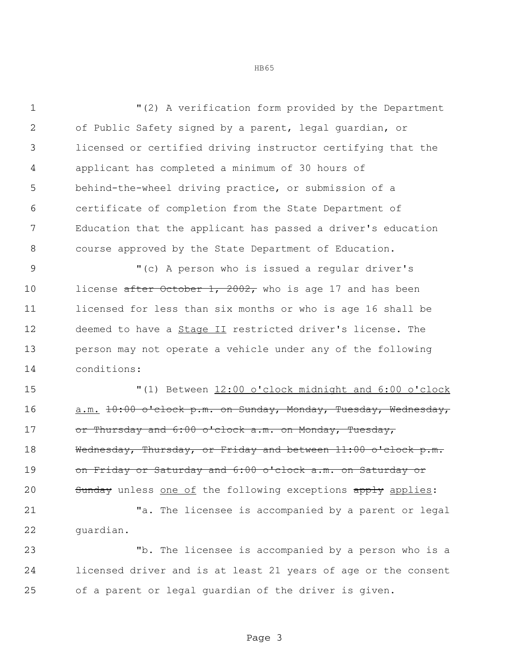"(2) A verification form provided by the Department of Public Safety signed by a parent, legal guardian, or licensed or certified driving instructor certifying that the applicant has completed a minimum of 30 hours of behind-the-wheel driving practice, or submission of a certificate of completion from the State Department of Education that the applicant has passed a driver's education course approved by the State Department of Education.

 "(c) A person who is issued a regular driver's 10 license after October 1, 2002, who is age 17 and has been licensed for less than six months or who is age 16 shall be deemed to have a Stage II restricted driver's license. The person may not operate a vehicle under any of the following conditions:

 "(1) Between 12:00 o'clock midnight and 6:00 o'clock a.m. 10:00 o'clock p.m. on Sunday, Monday, Tuesday, Wednesday, 17 or Thursday and 6:00 o'clock a.m. on Monday, Tuesday, 18 Wednesday, Thursday, or Friday and between 11:00 o'clock p.m. on Friday or Saturday and 6:00 o'clock a.m. on Saturday or 20 Sunday unless one of the following exceptions apply applies:

 "a. The licensee is accompanied by a parent or legal guardian.

 "b. The licensee is accompanied by a person who is a licensed driver and is at least 21 years of age or the consent of a parent or legal guardian of the driver is given.

Page 3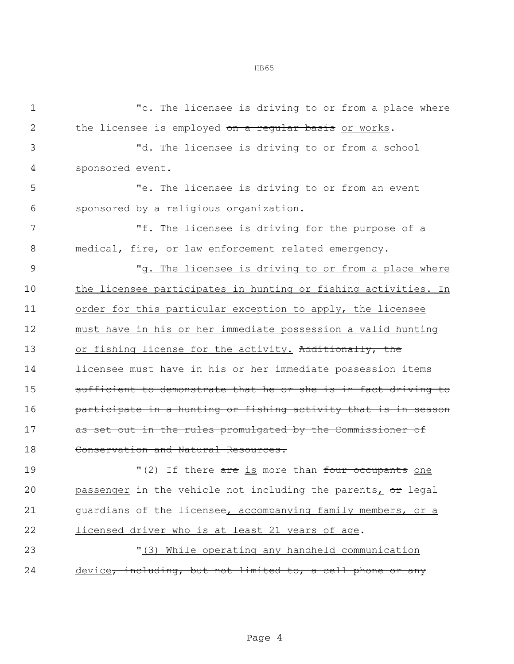"c. The licensee is driving to or from a place where 2 the licensee is employed on a regular basis or works. "d. The licensee is driving to or from a school sponsored event. "e. The licensee is driving to or from an event sponsored by a religious organization. "f. The licensee is driving for the purpose of a medical, fire, or law enforcement related emergency. "g. The licensee is driving to or from a place where the licensee participates in hunting or fishing activities. In 11 order for this particular exception to apply, the licensee must have in his or her immediate possession a valid hunting 13 or fishing license for the activity. Additionally, the **licensee must have in his or her immediate possession items** 15 sufficient to demonstrate that he or she is in fact driving to participate in a hunting or fishing activity that is in season 17 as set out in the rules promulgated by the Commissioner of Conservation and Natural Resources. 19 There are is more than four occupants one

20 passenger in the vehicle not including the parents,  $\sigma$ r legal 21 guardians of the licensee, accompanying family members, or a 22 licensed driver who is at least 21 years of age.

23 "(3) While operating any handheld communication 24 device, including, but not limited to, a cell phone or any

Page 4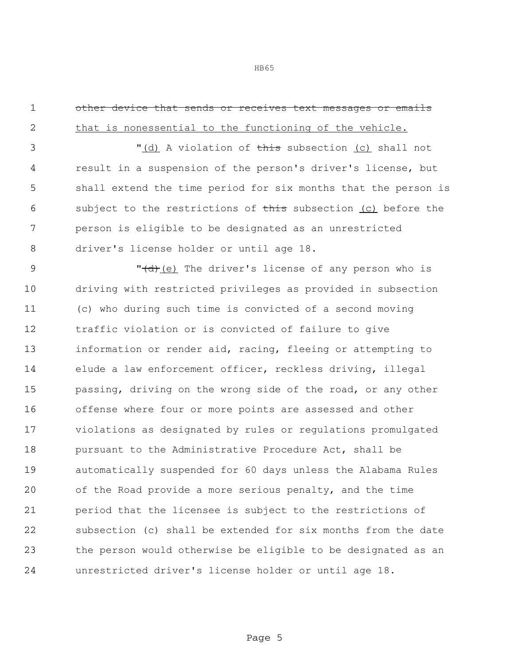HB65

1 other device that sends or receives text messages or emails

 that is nonessential to the functioning of the vehicle. 3 "(d) A violation of this subsection (c) shall not result in a suspension of the person's driver's license, but shall extend the time period for six months that the person is 6 subject to the restrictions of this subsection (c) before the person is eligible to be designated as an unrestricted driver's license holder or until age 18. 9 "<del>(d)</del>(e) The driver's license of any person who is driving with restricted privileges as provided in subsection (c) who during such time is convicted of a second moving traffic violation or is convicted of failure to give information or render aid, racing, fleeing or attempting to elude a law enforcement officer, reckless driving, illegal passing, driving on the wrong side of the road, or any other offense where four or more points are assessed and other violations as designated by rules or regulations promulgated **pursuant to the Administrative Procedure Act, shall be**  automatically suspended for 60 days unless the Alabama Rules of the Road provide a more serious penalty, and the time period that the licensee is subject to the restrictions of subsection (c) shall be extended for six months from the date the person would otherwise be eligible to be designated as an unrestricted driver's license holder or until age 18.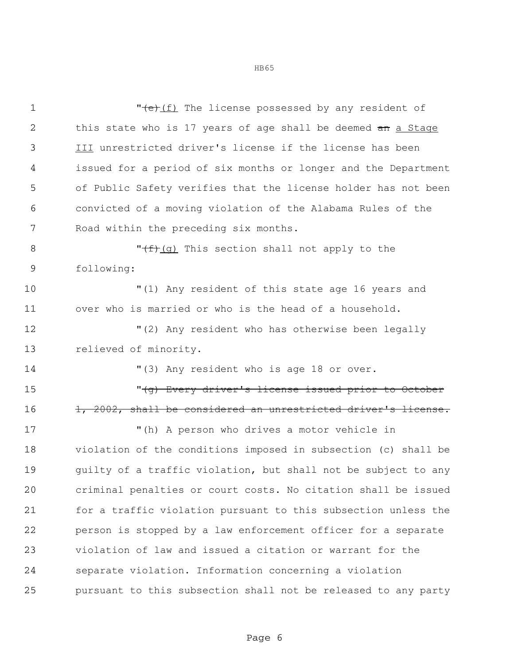1 The license possessed by any resident of 2 this state who is 17 years of age shall be deemed an a Stage III unrestricted driver's license if the license has been issued for a period of six months or longer and the Department of Public Safety verifies that the license holder has not been convicted of a moving violation of the Alabama Rules of the Road within the preceding six months.  $\sqrt{f}(\mathsf{g})$  This section shall not apply to the following: "(1) Any resident of this state age 16 years and over who is married or who is the head of a household. "(2) Any resident who has otherwise been legally relieved of minority. "(3) Any resident who is age 18 or over. "(g) Every driver's license issued prior to October 16 1, 2002, shall be considered an unrestricted driver's license. "(h) A person who drives a motor vehicle in violation of the conditions imposed in subsection (c) shall be guilty of a traffic violation, but shall not be subject to any criminal penalties or court costs. No citation shall be issued for a traffic violation pursuant to this subsection unless the person is stopped by a law enforcement officer for a separate violation of law and issued a citation or warrant for the separate violation. Information concerning a violation pursuant to this subsection shall not be released to any party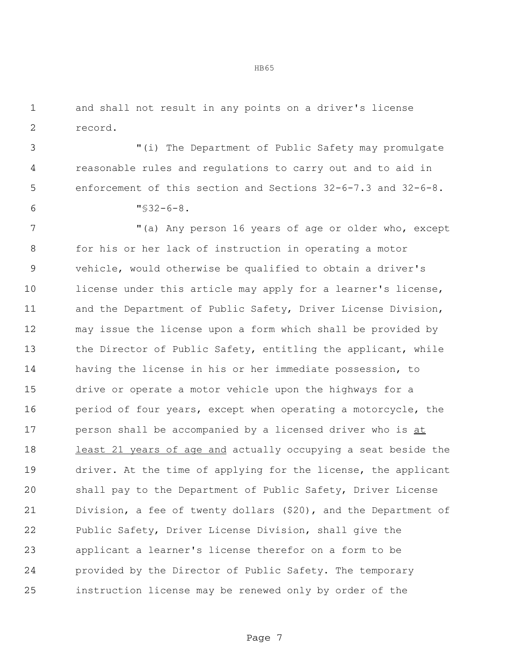and shall not result in any points on a driver's license record.

 "(i) The Department of Public Safety may promulgate reasonable rules and regulations to carry out and to aid in enforcement of this section and Sections 32-6-7.3 and 32-6-8.

"§32-6-8.

 "(a) Any person 16 years of age or older who, except for his or her lack of instruction in operating a motor vehicle, would otherwise be qualified to obtain a driver's 10 license under this article may apply for a learner's license, 11 and the Department of Public Safety, Driver License Division, may issue the license upon a form which shall be provided by 13 the Director of Public Safety, entitling the applicant, while having the license in his or her immediate possession, to drive or operate a motor vehicle upon the highways for a 16 period of four years, except when operating a motorcycle, the person shall be accompanied by a licensed driver who is at 18 least 21 years of age and actually occupying a seat beside the driver. At the time of applying for the license, the applicant shall pay to the Department of Public Safety, Driver License Division, a fee of twenty dollars (\$20), and the Department of Public Safety, Driver License Division, shall give the applicant a learner's license therefor on a form to be provided by the Director of Public Safety. The temporary instruction license may be renewed only by order of the

Page 7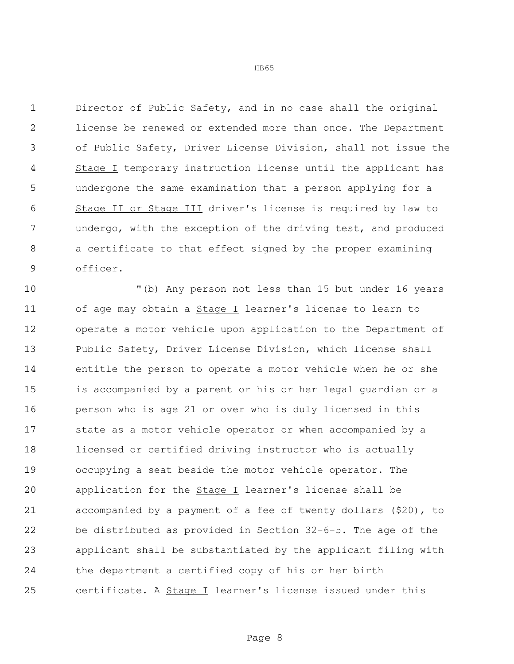Director of Public Safety, and in no case shall the original license be renewed or extended more than once. The Department of Public Safety, Driver License Division, shall not issue the 4 Stage I temporary instruction license until the applicant has undergone the same examination that a person applying for a Stage II or Stage III driver's license is required by law to undergo, with the exception of the driving test, and produced a certificate to that effect signed by the proper examining officer.

 "(b) Any person not less than 15 but under 16 years 11 of age may obtain a **Stage I** learner's license to learn to operate a motor vehicle upon application to the Department of Public Safety, Driver License Division, which license shall entitle the person to operate a motor vehicle when he or she is accompanied by a parent or his or her legal guardian or a person who is age 21 or over who is duly licensed in this state as a motor vehicle operator or when accompanied by a licensed or certified driving instructor who is actually occupying a seat beside the motor vehicle operator. The 20 application for the **Stage I** learner's license shall be accompanied by a payment of a fee of twenty dollars (\$20), to be distributed as provided in Section 32-6-5. The age of the applicant shall be substantiated by the applicant filing with the department a certified copy of his or her birth 25 certificate. A **Stage I** learner's license issued under this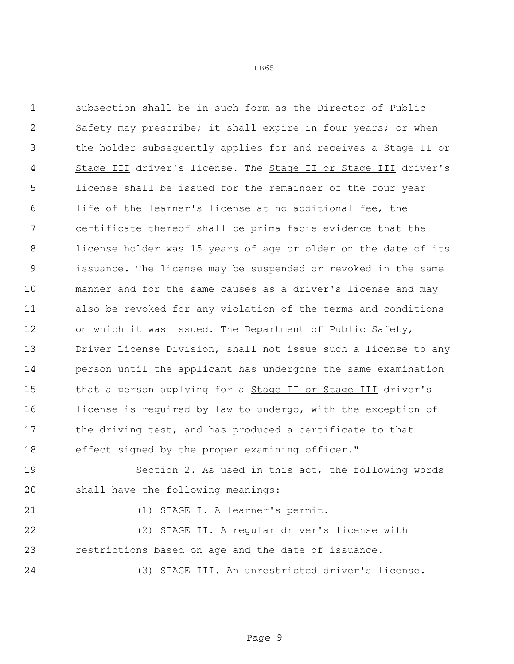subsection shall be in such form as the Director of Public Safety may prescribe; it shall expire in four years; or when the holder subsequently applies for and receives a Stage II or Stage III driver's license. The Stage II or Stage III driver's license shall be issued for the remainder of the four year life of the learner's license at no additional fee, the certificate thereof shall be prima facie evidence that the license holder was 15 years of age or older on the date of its issuance. The license may be suspended or revoked in the same manner and for the same causes as a driver's license and may also be revoked for any violation of the terms and conditions on which it was issued. The Department of Public Safety, Driver License Division, shall not issue such a license to any person until the applicant has undergone the same examination 15 that a person applying for a **Stage II or Stage III** driver's 16 license is required by law to undergo, with the exception of the driving test, and has produced a certificate to that effect signed by the proper examining officer."

 Section 2. As used in this act, the following words shall have the following meanings:

(1) STAGE I. A learner's permit.

 (2) STAGE II. A regular driver's license with restrictions based on age and the date of issuance.

(3) STAGE III. An unrestricted driver's license.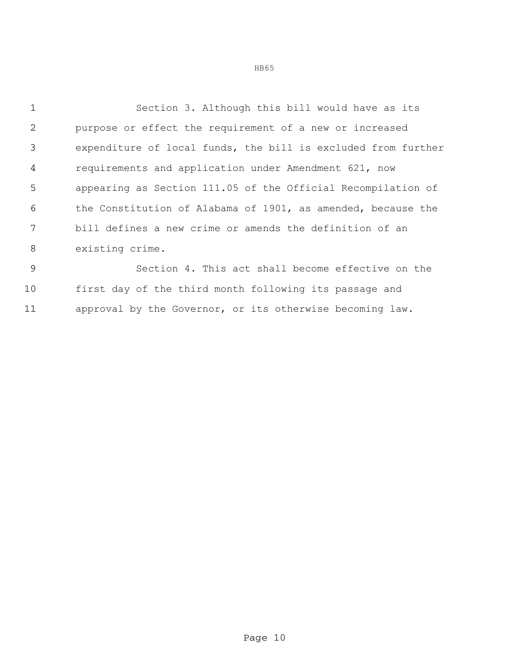Section 3. Although this bill would have as its purpose or effect the requirement of a new or increased expenditure of local funds, the bill is excluded from further requirements and application under Amendment 621, now appearing as Section 111.05 of the Official Recompilation of the Constitution of Alabama of 1901, as amended, because the bill defines a new crime or amends the definition of an existing crime.

 Section 4. This act shall become effective on the first day of the third month following its passage and approval by the Governor, or its otherwise becoming law.